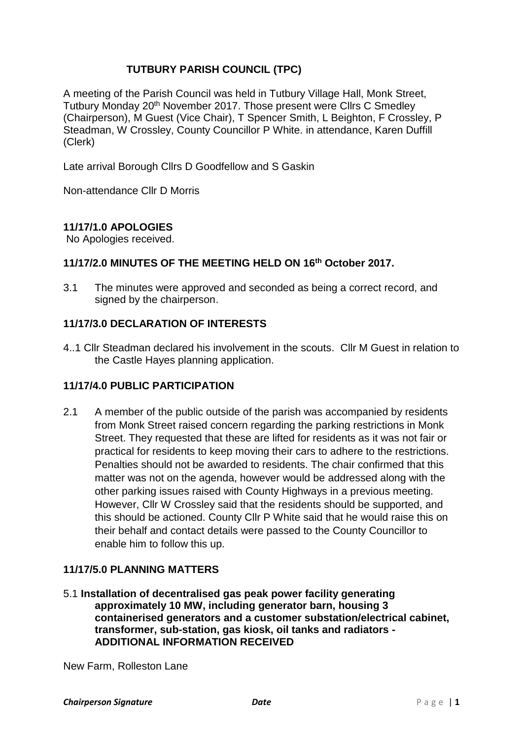# **TUTBURY PARISH COUNCIL (TPC)**

A meeting of the Parish Council was held in Tutbury Village Hall, Monk Street, Tutbury Monday 20<sup>th</sup> November 2017. Those present were Cllrs C Smedley (Chairperson), M Guest (Vice Chair), T Spencer Smith, L Beighton, F Crossley, P Steadman, W Crossley, County Councillor P White. in attendance, Karen Duffill (Clerk)

Late arrival Borough Cllrs D Goodfellow and S Gaskin

Non-attendance Cllr D Morris

# **11/17/1.0 APOLOGIES**

No Apologies received.

## **11/17/2.0 MINUTES OF THE MEETING HELD ON 16 th October 2017.**

3.1 The minutes were approved and seconded as being a correct record, and signed by the chairperson.

# **11/17/3.0 DECLARATION OF INTERESTS**

4..1 Cllr Steadman declared his involvement in the scouts. Cllr M Guest in relation to the Castle Hayes planning application.

# **11/17/4.0 PUBLIC PARTICIPATION**

2.1 A member of the public outside of the parish was accompanied by residents from Monk Street raised concern regarding the parking restrictions in Monk Street. They requested that these are lifted for residents as it was not fair or practical for residents to keep moving their cars to adhere to the restrictions. Penalties should not be awarded to residents. The chair confirmed that this matter was not on the agenda, however would be addressed along with the other parking issues raised with County Highways in a previous meeting. However, Cllr W Crossley said that the residents should be supported, and this should be actioned. County Cllr P White said that he would raise this on their behalf and contact details were passed to the County Councillor to enable him to follow this up.

## **11/17/5.0 PLANNING MATTERS**

5.1 **Installation of decentralised gas peak power facility generating approximately 10 MW, including generator barn, housing 3 containerised generators and a customer substation/electrical cabinet, transformer, sub-station, gas kiosk, oil tanks and radiators - ADDITIONAL INFORMATION RECEIVED**

New Farm, Rolleston Lane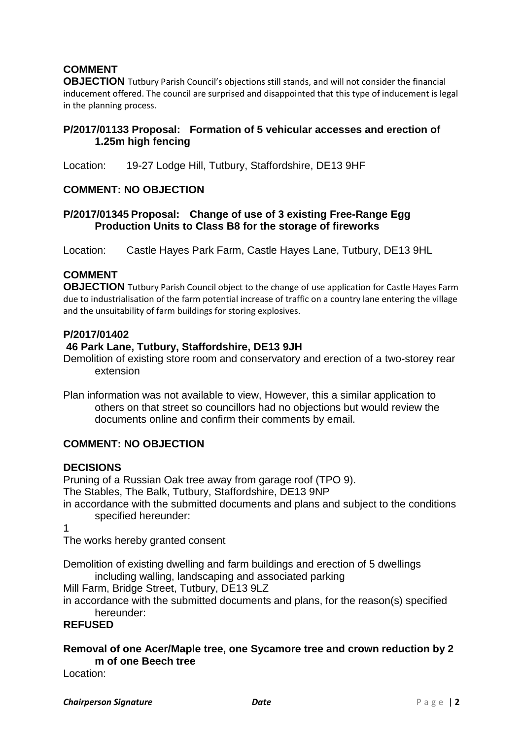# **COMMENT**

**OBJECTION** Tutbury Parish Council's objections still stands, and will not consider the financial inducement offered. The council are surprised and disappointed that this type of inducement is legal in the planning process.

## **P/2017/01133 Proposal: Formation of 5 vehicular accesses and erection of 1.25m high fencing**

Location: 19-27 Lodge Hill, Tutbury, Staffordshire, DE13 9HF

#### **COMMENT: NO OBJECTION**

#### **P/2017/01345 Proposal: Change of use of 3 existing Free-Range Egg Production Units to Class B8 for the storage of fireworks**

Location: Castle Hayes Park Farm, Castle Hayes Lane, Tutbury, DE13 9HL

## **COMMENT**

**OBJECTION** Tutbury Parish Council object to the change of use application for Castle Hayes Farm due to industrialisation of the farm potential increase of traffic on a country lane entering the village and the unsuitability of farm buildings for storing explosives.

#### **P/2017/01402**

#### **46 Park Lane, Tutbury, Staffordshire, DE13 9JH**

Demolition of existing store room and conservatory and erection of a two-storey rear extension

Plan information was not available to view, However, this a similar application to others on that street so councillors had no objections but would review the documents online and confirm their comments by email.

## **COMMENT: NO OBJECTION**

#### **DECISIONS**

Pruning of a Russian Oak tree away from garage roof (TPO 9). The Stables, The Balk, Tutbury, Staffordshire, DE13 9NP in accordance with the submitted documents and plans and subject to the conditions

specified hereunder:

1

The works hereby granted consent

Demolition of existing dwelling and farm buildings and erection of 5 dwellings including walling, landscaping and associated parking

Mill Farm, Bridge Street, Tutbury, DE13 9LZ

in accordance with the submitted documents and plans, for the reason(s) specified hereunder:

## **REFUSED**

## **Removal of one Acer/Maple tree, one Sycamore tree and crown reduction by 2 m of one Beech tree**

Location: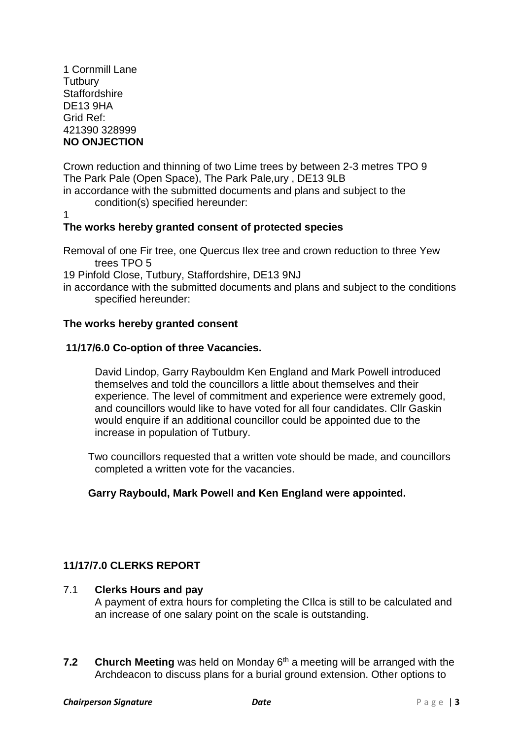1 Cornmill Lane **Tutbury Staffordshire** DE13 9HA Grid Ref: 421390 328999 **NO ONJECTION**

Crown reduction and thinning of two Lime trees by between 2-3 metres TPO 9 The Park Pale (Open Space), The Park Pale,ury , DE13 9LB in accordance with the submitted documents and plans and subject to the

- condition(s) specified hereunder:
- 1

# **The works hereby granted consent of protected species**

Removal of one Fir tree, one Quercus Ilex tree and crown reduction to three Yew trees TPO 5

19 Pinfold Close, Tutbury, Staffordshire, DE13 9NJ

in accordance with the submitted documents and plans and subject to the conditions specified hereunder:

## **The works hereby granted consent**

## **11/17/6.0 Co-option of three Vacancies.**

David Lindop, Garry Raybouldm Ken England and Mark Powell introduced themselves and told the councillors a little about themselves and their experience. The level of commitment and experience were extremely good, and councillors would like to have voted for all four candidates. Cllr Gaskin would enquire if an additional councillor could be appointed due to the increase in population of Tutbury.

Two councillors requested that a written vote should be made, and councillors completed a written vote for the vacancies.

# **Garry Raybould, Mark Powell and Ken England were appointed.**

# **11/17/7.0 CLERKS REPORT**

## 7.1 **Clerks Hours and pay**

A payment of extra hours for completing the CIlca is still to be calculated and an increase of one salary point on the scale is outstanding.

**7.2 Church Meeting** was held on Monday 6th a meeting will be arranged with the Archdeacon to discuss plans for a burial ground extension. Other options to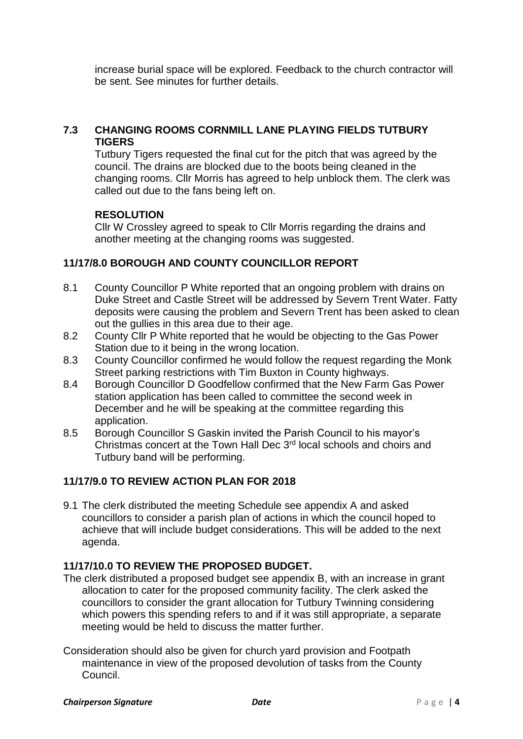increase burial space will be explored. Feedback to the church contractor will be sent. See minutes for further details.

## **7.3 CHANGING ROOMS CORNMILL LANE PLAYING FIELDS TUTBURY TIGERS**

Tutbury Tigers requested the final cut for the pitch that was agreed by the council. The drains are blocked due to the boots being cleaned in the changing rooms. Cllr Morris has agreed to help unblock them. The clerk was called out due to the fans being left on.

## **RESOLUTION**

Cllr W Crossley agreed to speak to Cllr Morris regarding the drains and another meeting at the changing rooms was suggested.

# **11/17/8.0 BOROUGH AND COUNTY COUNCILLOR REPORT**

- 8.1 County Councillor P White reported that an ongoing problem with drains on Duke Street and Castle Street will be addressed by Severn Trent Water. Fatty deposits were causing the problem and Severn Trent has been asked to clean out the gullies in this area due to their age.
- 8.2 County Cllr P White reported that he would be objecting to the Gas Power Station due to it being in the wrong location.
- 8.3 County Councillor confirmed he would follow the request regarding the Monk Street parking restrictions with Tim Buxton in County highways.
- 8.4 Borough Councillor D Goodfellow confirmed that the New Farm Gas Power station application has been called to committee the second week in December and he will be speaking at the committee regarding this application.
- 8.5 Borough Councillor S Gaskin invited the Parish Council to his mayor's Christmas concert at the Town Hall Dec 3rd local schools and choirs and Tutbury band will be performing.

# **11/17/9.0 TO REVIEW ACTION PLAN FOR 2018**

9.1 The clerk distributed the meeting Schedule see appendix A and asked councillors to consider a parish plan of actions in which the council hoped to achieve that will include budget considerations. This will be added to the next agenda.

## **11/17/10.0 TO REVIEW THE PROPOSED BUDGET.**

- The clerk distributed a proposed budget see appendix B, with an increase in grant allocation to cater for the proposed community facility. The clerk asked the councillors to consider the grant allocation for Tutbury Twinning considering which powers this spending refers to and if it was still appropriate, a separate meeting would be held to discuss the matter further.
- Consideration should also be given for church yard provision and Footpath maintenance in view of the proposed devolution of tasks from the County Council.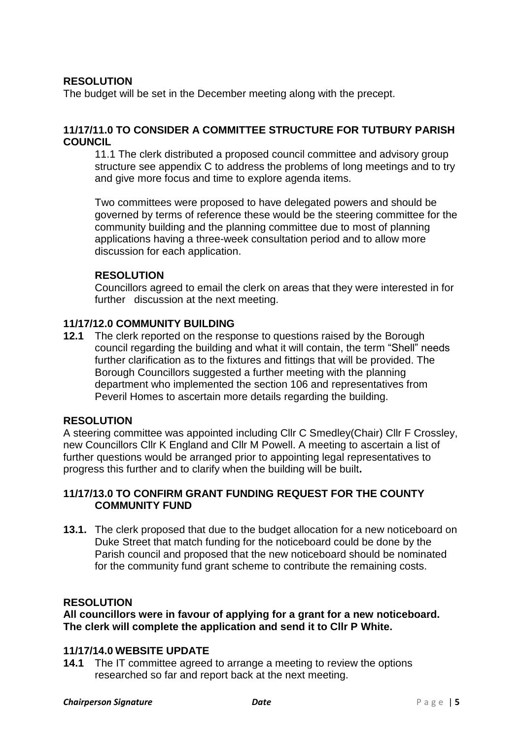## **RESOLUTION**

The budget will be set in the December meeting along with the precept.

## **11/17/11.0 TO CONSIDER A COMMITTEE STRUCTURE FOR TUTBURY PARISH COUNCIL**

11.1 The clerk distributed a proposed council committee and advisory group structure see appendix C to address the problems of long meetings and to try and give more focus and time to explore agenda items.

Two committees were proposed to have delegated powers and should be governed by terms of reference these would be the steering committee for the community building and the planning committee due to most of planning applications having a three-week consultation period and to allow more discussion for each application.

#### **RESOLUTION**

Councillors agreed to email the clerk on areas that they were interested in for further discussion at the next meeting.

#### **11/17/12.0 COMMUNITY BUILDING**

**12.1** The clerk reported on the response to questions raised by the Borough council regarding the building and what it will contain, the term "Shell" needs further clarification as to the fixtures and fittings that will be provided. The Borough Councillors suggested a further meeting with the planning department who implemented the section 106 and representatives from Peveril Homes to ascertain more details regarding the building.

## **RESOLUTION**

A steering committee was appointed including Cllr C Smedley(Chair) Cllr F Crossley, new Councillors Cllr K England and Cllr M Powell. A meeting to ascertain a list of further questions would be arranged prior to appointing legal representatives to progress this further and to clarify when the building will be built**.**

## **11/17/13.0 TO CONFIRM GRANT FUNDING REQUEST FOR THE COUNTY COMMUNITY FUND**

**13.1.** The clerk proposed that due to the budget allocation for a new noticeboard on Duke Street that match funding for the noticeboard could be done by the Parish council and proposed that the new noticeboard should be nominated for the community fund grant scheme to contribute the remaining costs.

#### **RESOLUTION**

#### **All councillors were in favour of applying for a grant for a new noticeboard. The clerk will complete the application and send it to Cllr P White.**

#### **11/17/14.0 WEBSITE UPDATE**

**14.1** The IT committee agreed to arrange a meeting to review the options researched so far and report back at the next meeting.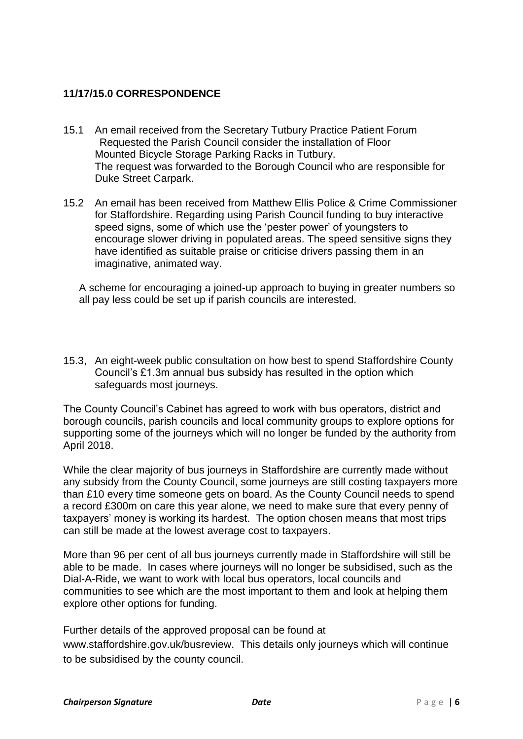# **11/17/15.0 CORRESPONDENCE**

- 15.1 An email received from the Secretary Tutbury Practice Patient Forum Requested the Parish Council consider the installation of Floor Mounted Bicycle Storage Parking Racks in Tutbury. The request was forwarded to the Borough Council who are responsible for Duke Street Carpark.
- 15.2 An email has been received from Matthew Ellis Police & Crime Commissioner for Staffordshire. Regarding using Parish Council funding to buy interactive speed signs, some of which use the 'pester power' of youngsters to encourage slower driving in populated areas. The speed sensitive signs they have identified as suitable praise or criticise drivers passing them in an imaginative, animated way.

A scheme for encouraging a joined-up approach to buying in greater numbers so all pay less could be set up if parish councils are interested.

15.3, An eight-week public consultation on how best to spend Staffordshire County Council's £1.3m annual bus subsidy has resulted in the option which safeguards most journeys.

The County Council's Cabinet has agreed to work with bus operators, district and borough councils, parish councils and local community groups to explore options for supporting some of the journeys which will no longer be funded by the authority from April 2018.

While the clear majority of bus journeys in Staffordshire are currently made without any subsidy from the County Council, some journeys are still costing taxpayers more than £10 every time someone gets on board. As the County Council needs to spend a record £300m on care this year alone, we need to make sure that every penny of taxpayers' money is working its hardest. The option chosen means that most trips can still be made at the lowest average cost to taxpayers.

More than 96 per cent of all bus journeys currently made in Staffordshire will still be able to be made. In cases where journeys will no longer be subsidised, such as the Dial-A-Ride, we want to work with local bus operators, local councils and communities to see which are the most important to them and look at helping them explore other options for funding.

Further details of the approved proposal can be found at

[www.staffordshire.gov.uk/busreview.](http://www.staffordshire.gov.uk/busreview) This details only journeys which will continue to be subsidised by the county council.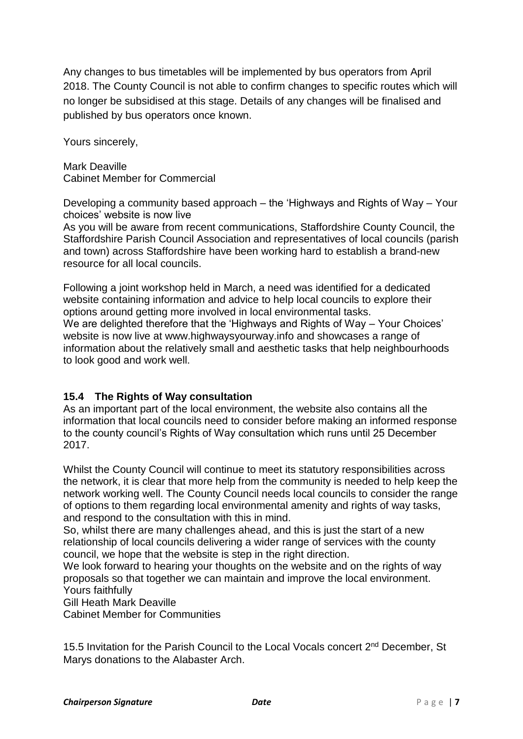Any changes to bus timetables will be implemented by bus operators from April 2018. The County Council is not able to confirm changes to specific routes which will no longer be subsidised at this stage. Details of any changes will be finalised and published by bus operators once known.

Yours sincerely,

Mark Deaville Cabinet Member for Commercial

Developing a community based approach – the 'Highways and Rights of Way – Your choices' website is now live

As you will be aware from recent communications, Staffordshire County Council, the Staffordshire Parish Council Association and representatives of local councils (parish and town) across Staffordshire have been working hard to establish a brand-new resource for all local councils.

Following a joint workshop held in March, a need was identified for a dedicated website containing information and advice to help local councils to explore their options around getting more involved in local environmental tasks. We are delighted therefore that the 'Highways and Rights of Way – Your Choices' website is now live at www.highwaysyourway.info and showcases a range of information about the relatively small and aesthetic tasks that help neighbourhoods to look good and work well.

# **15.4 The Rights of Way consultation**

As an important part of the local environment, the website also contains all the information that local councils need to consider before making an informed response to the county council's Rights of Way consultation which runs until 25 December 2017.

Whilst the County Council will continue to meet its statutory responsibilities across the network, it is clear that more help from the community is needed to help keep the network working well. The County Council needs local councils to consider the range of options to them regarding local environmental amenity and rights of way tasks, and respond to the consultation with this in mind.

So, whilst there are many challenges ahead, and this is just the start of a new relationship of local councils delivering a wider range of services with the county council, we hope that the website is step in the right direction.

We look forward to hearing your thoughts on the website and on the rights of way proposals so that together we can maintain and improve the local environment. Yours faithfully

Gill Heath Mark Deaville

Cabinet Member for Communities

15.5 Invitation for the Parish Council to the Local Vocals concert 2<sup>nd</sup> December. St Marys donations to the Alabaster Arch.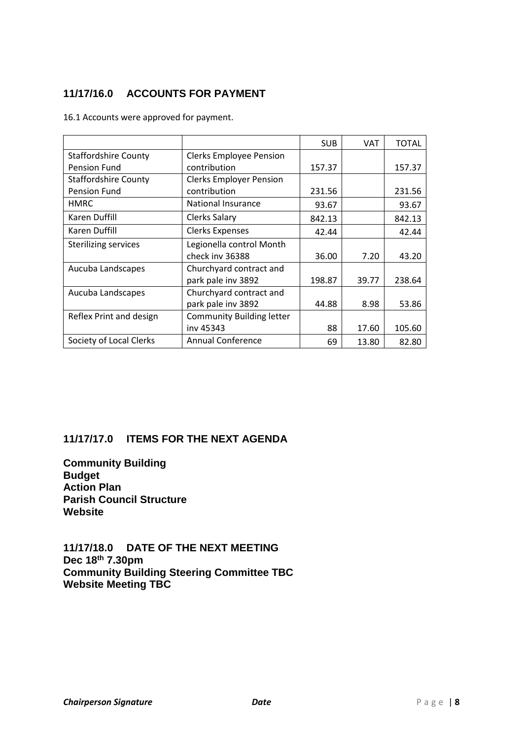# **11/17/16.0 ACCOUNTS FOR PAYMENT**

16.1 Accounts were approved for payment.

|                             |                                  | <b>SUB</b> | <b>VAT</b> | <b>TOTAL</b> |
|-----------------------------|----------------------------------|------------|------------|--------------|
| <b>Staffordshire County</b> | <b>Clerks Employee Pension</b>   |            |            |              |
| <b>Pension Fund</b>         | contribution                     | 157.37     |            | 157.37       |
| <b>Staffordshire County</b> | <b>Clerks Employer Pension</b>   |            |            |              |
| <b>Pension Fund</b>         | contribution                     | 231.56     |            | 231.56       |
| <b>HMRC</b>                 | National Insurance               | 93.67      |            | 93.67        |
| <b>Karen Duffill</b>        | Clerks Salary                    | 842.13     |            | 842.13       |
| Karen Duffill               | <b>Clerks Expenses</b>           | 42.44      |            | 42.44        |
| <b>Sterilizing services</b> | Legionella control Month         |            |            |              |
|                             | check inv 36388                  | 36.00      | 7.20       | 43.20        |
| Aucuba Landscapes           | Churchyard contract and          |            |            |              |
|                             | park pale inv 3892               | 198.87     | 39.77      | 238.64       |
| Aucuba Landscapes           | Churchyard contract and          |            |            |              |
|                             | park pale inv 3892               | 44.88      | 8.98       | 53.86        |
| Reflex Print and design     | <b>Community Building letter</b> |            |            |              |
|                             | inv 45343                        | 88         | 17.60      | 105.60       |
| Society of Local Clerks     | <b>Annual Conference</b>         | 69         | 13.80      | 82.80        |

## **11/17/17.0 ITEMS FOR THE NEXT AGENDA**

**Community Building Budget Action Plan Parish Council Structure Website**

**11/17/18.0 DATE OF THE NEXT MEETING Dec 18 th 7.30pm Community Building Steering Committee TBC Website Meeting TBC**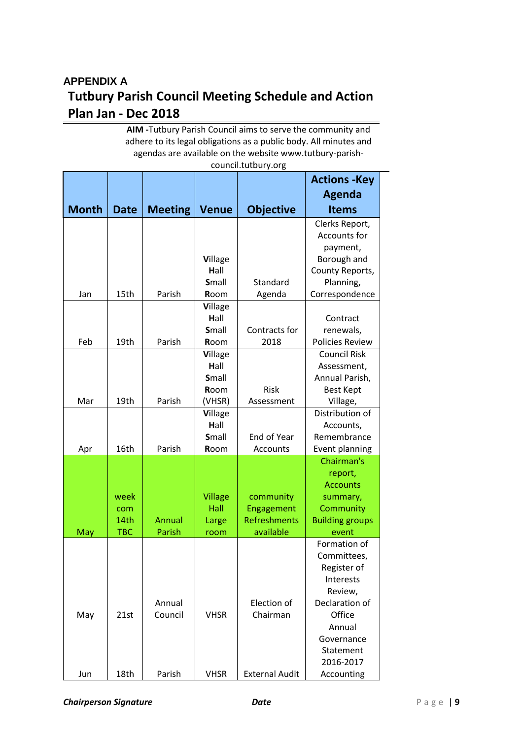# **APPENDIX A Tutbury Parish Council Meeting Schedule and Action Plan Jan - Dec 2018**

**AIM -**Tutbury Parish Council aims to serve the community and adhere to its legal obligations as a public body. All minutes and agendas are available on the website www.tutbury-parishcouncil.tutbury.org

|              |             |                |                |                       | <b>Actions -Key</b>            |
|--------------|-------------|----------------|----------------|-----------------------|--------------------------------|
|              |             |                |                |                       | <b>Agenda</b>                  |
| <b>Month</b> | <b>Date</b> | <b>Meeting</b> | <b>Venue</b>   | <b>Objective</b>      | <b>Items</b>                   |
|              |             |                |                |                       |                                |
|              |             |                |                |                       | Clerks Report,<br>Accounts for |
|              |             |                |                |                       |                                |
|              |             |                | Village        |                       | payment,<br>Borough and        |
|              |             |                | Hall           |                       | County Reports,                |
|              |             |                | Small          | Standard              | Planning,                      |
| Jan          | 15th        | Parish         | Room           | Agenda                | Correspondence                 |
|              |             |                | Village        |                       |                                |
|              |             |                | Hall           |                       | Contract                       |
|              |             |                | Small          | Contracts for         | renewals,                      |
| Feb          | 19th        | Parish         | Room           | 2018                  | <b>Policies Review</b>         |
|              |             |                | Village        |                       | <b>Council Risk</b>            |
|              |             |                | Hall           |                       | Assessment,                    |
|              |             |                | Small          |                       | Annual Parish,                 |
|              |             |                | Room           | Risk                  | <b>Best Kept</b>               |
| Mar          | 19th        | Parish         | (VHSR)         | Assessment            | Village,                       |
|              |             |                | Village        |                       | Distribution of                |
|              |             |                | Hall           |                       | Accounts,                      |
|              |             |                | Small          | End of Year           | Remembrance                    |
| Apr          | 16th        | Parish         | Room           | Accounts              | Event planning                 |
|              |             |                |                |                       | Chairman's                     |
|              |             |                |                |                       | report,                        |
|              |             |                |                |                       | <b>Accounts</b>                |
|              | week        |                | <b>Village</b> | community             | summary,                       |
|              | com         |                | Hall           | Engagement            | Community                      |
|              | 14th        | Annual         | Large          | Refreshments          | <b>Building groups</b>         |
| May          | <b>TBC</b>  | Parish         | room           | available             | event                          |
|              |             |                |                |                       | Formation of                   |
|              |             |                |                |                       | Committees,                    |
|              |             |                |                |                       | Register of                    |
|              |             |                |                |                       | Interests                      |
|              |             |                |                |                       | Review,                        |
|              |             | Annual         |                | Election of           | Declaration of                 |
| May          | 21st        | Council        | <b>VHSR</b>    | Chairman              | Office                         |
|              |             |                |                |                       | Annual                         |
|              |             |                |                |                       | Governance                     |
|              |             |                |                |                       | Statement                      |
|              |             |                |                |                       | 2016-2017                      |
| Jun          | 18th        | Parish         | <b>VHSR</b>    | <b>External Audit</b> | Accounting                     |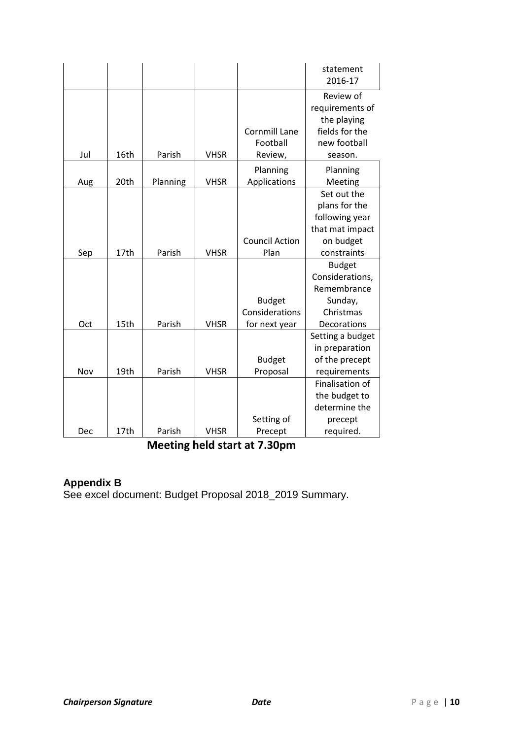|     |      |          |             |                       | statement<br>2016-17                        |
|-----|------|----------|-------------|-----------------------|---------------------------------------------|
|     |      |          |             |                       | Review of<br>requirements of<br>the playing |
|     |      |          |             | <b>Cornmill Lane</b>  | fields for the                              |
|     |      |          |             | Football              | new football                                |
| Jul | 16th | Parish   | <b>VHSR</b> | Review,               | season.                                     |
|     |      |          |             | Planning              | Planning                                    |
| Aug | 20th | Planning | <b>VHSR</b> | Applications          | Meeting                                     |
|     |      |          |             |                       | Set out the                                 |
|     |      |          |             |                       | plans for the                               |
|     |      |          |             |                       | following year                              |
|     |      |          |             |                       | that mat impact                             |
|     |      |          |             | <b>Council Action</b> | on budget                                   |
| Sep | 17th | Parish   | <b>VHSR</b> | Plan                  | constraints                                 |
|     |      |          |             |                       | <b>Budget</b>                               |
|     |      |          |             |                       | Considerations,                             |
|     |      |          |             |                       | Remembrance                                 |
|     |      |          |             | <b>Budget</b>         | Sunday,                                     |
|     |      |          |             | Considerations        | Christmas                                   |
| Oct | 15th | Parish   | <b>VHSR</b> | for next year         | Decorations                                 |
|     |      |          |             |                       | Setting a budget                            |
|     |      |          |             |                       | in preparation                              |
|     |      |          |             | <b>Budget</b>         | of the precept                              |
| Nov | 19th | Parish   | <b>VHSR</b> | Proposal              | requirements                                |
|     |      |          |             |                       | Finalisation of                             |
|     |      |          |             |                       | the budget to                               |
|     |      |          |             |                       | determine the                               |
|     |      |          |             | Setting of            | precept                                     |
| Dec | 17th | Parish   | <b>VHSR</b> | Precept               | required.                                   |

**Meeting held start at 7.30pm**

# **Appendix B**

See excel document: Budget Proposal 2018\_2019 Summary.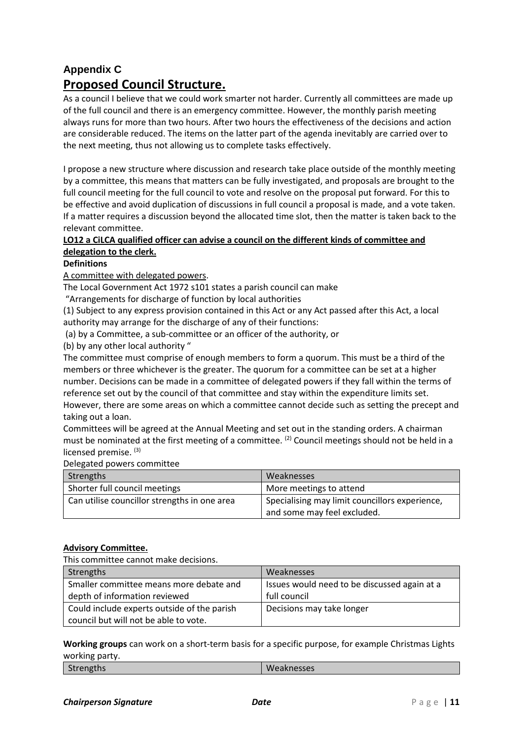# **Appendix C Proposed Council Structure.**

As a council I believe that we could work smarter not harder. Currently all committees are made up of the full council and there is an emergency committee. However, the monthly parish meeting always runs for more than two hours. After two hours the effectiveness of the decisions and action are considerable reduced. The items on the latter part of the agenda inevitably are carried over to the next meeting, thus not allowing us to complete tasks effectively.

I propose a new structure where discussion and research take place outside of the monthly meeting by a committee, this means that matters can be fully investigated, and proposals are brought to the full council meeting for the full council to vote and resolve on the proposal put forward. For this to be effective and avoid duplication of discussions in full council a proposal is made, and a vote taken. If a matter requires a discussion beyond the allocated time slot, then the matter is taken back to the relevant committee.

#### **LO12 a CiLCA qualified officer can advise a council on the different kinds of committee and delegation to the clerk.**

#### **Definitions**

A committee with delegated powers.

The Local Government Act 1972 s101 states a parish council can make

"Arrangements for discharge of function by local authorities

(1) Subject to any express provision contained in this Act or any Act passed after this Act, a local authority may arrange for the discharge of any of their functions:

(a) by a Committee, a sub-committee or an officer of the authority, or

(b) by any other local authority "

The committee must comprise of enough members to form a quorum. This must be a third of the members or three whichever is the greater. The quorum for a committee can be set at a higher number. Decisions can be made in a committee of delegated powers if they fall within the terms of reference set out by the council of that committee and stay within the expenditure limits set. However, there are some areas on which a committee cannot decide such as setting the precept and taking out a loan.

Committees will be agreed at the Annual Meeting and set out in the standing orders. A chairman must be nominated at the first meeting of a committee. <sup>(2)</sup> Council meetings should not be held in a licensed premise.<sup>(3)</sup>

Delegated powers committee

| Strengths                                    | Weaknesses                                     |  |
|----------------------------------------------|------------------------------------------------|--|
| Shorter full council meetings                | More meetings to attend                        |  |
| Can utilise councillor strengths in one area | Specialising may limit councillors experience, |  |
|                                              | and some may feel excluded.                    |  |

#### **Advisory Committee.**

This committee cannot make decisions.

| Strengths                                                                            | Weaknesses                                                   |
|--------------------------------------------------------------------------------------|--------------------------------------------------------------|
| Smaller committee means more debate and<br>depth of information reviewed             | Issues would need to be discussed again at a<br>full council |
| Could include experts outside of the parish<br>council but will not be able to vote. | Decisions may take longer                                    |

**Working groups** can work on a short-term basis for a specific purpose, for example Christmas Lights working party.

| $\cdots$  |            |
|-----------|------------|
| Strengths | Weaknesses |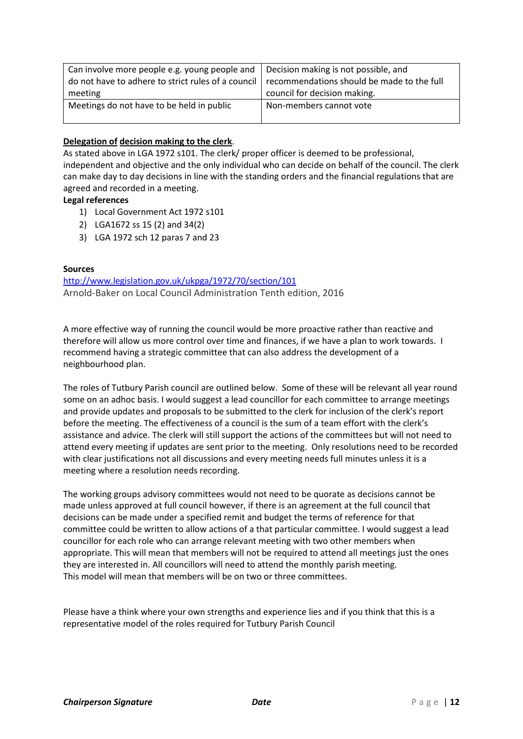| Can involve more people e.g. young people and                                                 | Decision making is not possible, and |  |  |
|-----------------------------------------------------------------------------------------------|--------------------------------------|--|--|
| do not have to adhere to strict rules of a council recommendations should be made to the full |                                      |  |  |
| meeting                                                                                       | council for decision making.         |  |  |
| Meetings do not have to be held in public                                                     | Non-members cannot vote              |  |  |

#### **Delegation of decision making to the clerk**.

As stated above in LGA 1972 s101. The clerk/ proper officer is deemed to be professional, independent and objective and the only individual who can decide on behalf of the council. The clerk can make day to day decisions in line with the standing orders and the financial regulations that are agreed and recorded in a meeting.

#### **Legal references**

- 1) Local Government Act 1972 s101
- 2) LGA1672 ss 15 (2) and 34(2)
- 3) LGA 1972 sch 12 paras 7 and 23

#### **Sources**

<http://www.legislation.gov.uk/ukpga/1972/70/section/101> Arnold-Baker on Local Council Administration Tenth edition, 2016

A more effective way of running the council would be more proactive rather than reactive and therefore will allow us more control over time and finances, if we have a plan to work towards. I recommend having a strategic committee that can also address the development of a neighbourhood plan.

The roles of Tutbury Parish council are outlined below. Some of these will be relevant all year round some on an adhoc basis. I would suggest a lead councillor for each committee to arrange meetings and provide updates and proposals to be submitted to the clerk for inclusion of the clerk's report before the meeting. The effectiveness of a council is the sum of a team effort with the clerk's assistance and advice. The clerk will still support the actions of the committees but will not need to attend every meeting if updates are sent prior to the meeting. Only resolutions need to be recorded with clear justifications not all discussions and every meeting needs full minutes unless it is a meeting where a resolution needs recording.

The working groups advisory committees would not need to be quorate as decisions cannot be made unless approved at full council however, if there is an agreement at the full council that decisions can be made under a specified remit and budget the terms of reference for that committee could be written to allow actions of a that particular committee. I would suggest a lead councillor for each role who can arrange relevant meeting with two other members when appropriate. This will mean that members will not be required to attend all meetings just the ones they are interested in. All councillors will need to attend the monthly parish meeting. This model will mean that members will be on two or three committees.

Please have a think where your own strengths and experience lies and if you think that this is a representative model of the roles required for Tutbury Parish Council